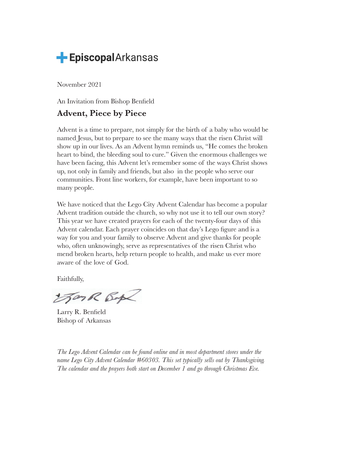

November 2021

An Invitation from Bishop Benfield

## **Advent, Piece by Piece**

Advent is a time to prepare, not simply for the birth of a baby who would be named Jesus, but to prepare to see the many ways that the risen Christ will show up in our lives. As an Advent hymn reminds us, "He comes the broken heart to bind, the bleeding soul to cure." Given the enormous challenges we have been facing, this Advent let's remember some of the ways Christ shows up, not only in family and friends, but also in the people who serve our communities. Front line workers, for example, have been important to so many people.

We have noticed that the Lego City Advent Calendar has become a popular Advent tradition outside the church, so why not use it to tell our own story? This year we have created prayers for each of the twenty-four days of this Advent calendar. Each prayer coincides on that day's Lego figure and is a way for you and your family to observe Advent and give thanks for people who, often unknowingly, serve as representatives of the risen Christ who mend broken hearts, help return people to health, and make us ever more aware of the love of God.

Faithfully,

ForR Box

Larry R. Benfield Bishop of Arkansas

*The Lego Advent Calendar can be found online and in most department stores under the name Lego City Advent Calendar #60303. This set typically sells out by Thanksgiving. The calendar and the prayers both start on December 1 and go through Christmas Eve.*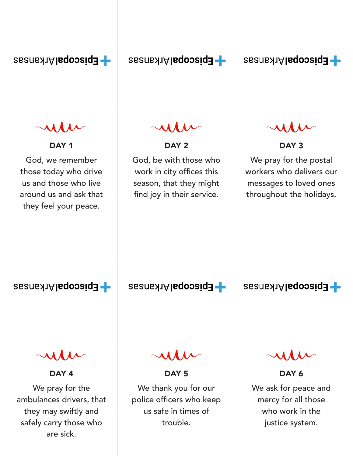- EpiscopalArkansas

- EpiscopalArkansas

DAY<sub>1</sub>

God, we remember those today who drive us and those who live around us and ask that they feel your peace.

## DAY<sub>2</sub>

God, be with those who work in city offices this season, that they might find joy in their service.

**EpiscopalArkansas** 

## DAY 3

We pray for the postal workers who delivers our messages to loved ones throughout the holidays.

**EpiscopalArkansas** 

DAY<sub>4</sub> We pray for the ambulances drivers, that they may swiftly and safely carry those who are sick.

**EpiscopalArkansas** 

**EpiscopalArkansas** 

DAY<sub>5</sub>

We thank you for our police officers who keep us safe in times of trouble.

DAY 6

We ask for peace and mercy for all those who work in the justice system.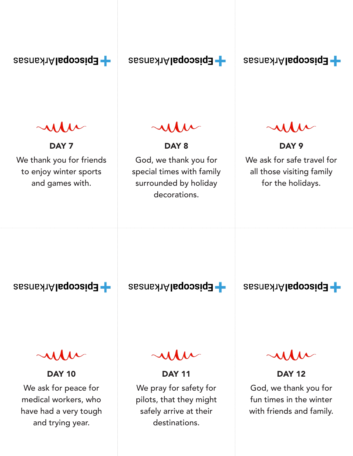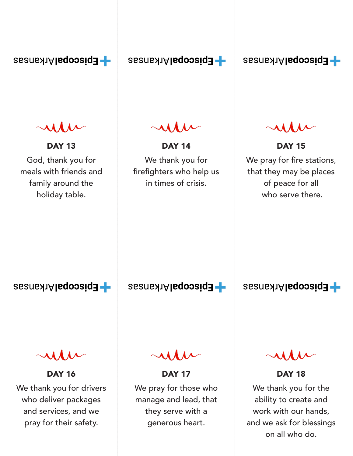

and services, and we pray for their safety.

they serve with a generous heart.

work with our hands,

and we ask for blessings on all who do.